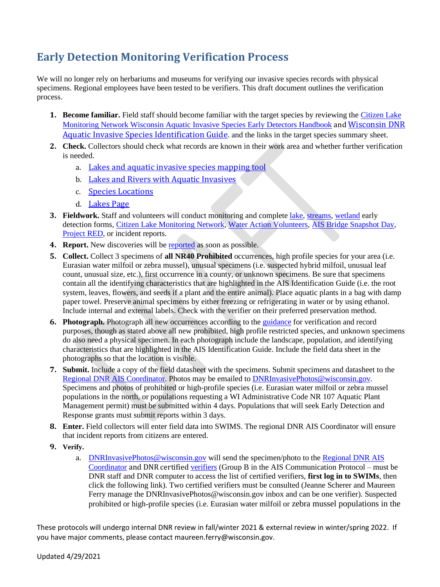## **Early Detection Monitoring Verification Process**

We will no longer rely on herbariums and museums for verifying our invasive species records with physical specimens. Regional employees have been tested to be verifiers. This draft document outlines the verification process.

- **1. Become familiar.** Field staff should become familiar with the target species by reviewing the [Citizen Lake](https://www.uwsp.edu/cnr-ap/UWEXLakes/Documents/programs/CLMN/publications/Wisconsin%20AIS%20Early%20Detector%20Handbook.pdf)  [Monitoring Network Wisconsin Aquatic Invasive Species Early Detectors Handbook](https://www.uwsp.edu/cnr-ap/UWEXLakes/Documents/programs/CLMN/publications/Wisconsin%20AIS%20Early%20Detector%20Handbook.pdf) and [Wisconsin DNR](https://urldefense.com/v3/__https:/dnrx.wisconsin.gov/swims/downloadDocument.do?id=191057878__;!!OgRYtnnXsQ!ZUNSKRZCM8SvGAn7amdG2D2-TLJIXKqpT9ZQqPQTlbrOwhnGgn_XbnIrf6U9NHhZy-Xl7Q$)  [Aquatic Invasive Species Identification Guide.](https://urldefense.com/v3/__https:/dnrx.wisconsin.gov/swims/downloadDocument.do?id=191057878__;!!OgRYtnnXsQ!ZUNSKRZCM8SvGAn7amdG2D2-TLJIXKqpT9ZQqPQTlbrOwhnGgn_XbnIrf6U9NHhZy-Xl7Q$) and the links in the target species summary sheet.
- **2. Check.** Collectors should check what records are known in their work area and whether further verification is needed.
	- a. [Lakes and aquatic invasive species mapping tool](https://dnr.wi.gov/lakes/viewer/)
	- b. [Lakes and Rivers with Aquatic Invasives](https://dnr.wi.gov/lakes/invasives/AISByWaterbody.aspx)
	- c. [Species Locations](https://dnr.wi.gov/lakes/invasives/BySpecies.aspx)
	- d. [Lakes Page](https://dnr.wi.gov/lakes/lakepages/Default.aspx)
- **3. Fieldwork.** Staff and volunteers will conduct monitoring and complete [lake,](https://dnrx.wisconsin.gov/swims/downloadDocument.do?id=129891383) [streams,](https://dnrx.wisconsin.gov/swims/downloadDocument.do?id=129891642) [wetland](https://dnrx.wisconsin.gov/swims/downloadDocument.do?id=133901217) early detection forms, [Citizen Lake Monitoring Network,](https://www.uwsp.edu/cnr-ap/UWEXLakes/Documents/programs/CLMN/forms/3200-133-presenceabsence.pdf) [Water Action Volunteers,](https://wateractionvolunteers.org/files/2019/10/DraftAISMonitoringForm_Nov29_2018.pdf?x82540) [AIS Bridge Snapshot Day,](https://dnrx.wisconsin.gov/swims/downloadDocument.do?id=133496827) [Project RED,](https://dnrx.wisconsin.gov/swims/downloadDocument.do?id=102529855) or incident reports.
- **4. Report.** New discoveries will be [reported](https://dnr.wisconsin.gov/topic/Invasives/report.html) as soon as possible.
- **5. Collect.** Collect 3 specimens of **all NR40 Prohibited** occurrences, high profile species for your area (i.e. Eurasian water milfoil or zebra mussel), unusual specimens (i.e. suspected hybrid milfoil, unusual leaf count, unusual size, etc.), first occurrence in a county, or unknown specimens. Be sure that specimens contain all the identifying characteristics that are highlighted in the AIS Identification Guide (i.e. the root system, leaves, flowers, and seeds if a plant and the entire animal). Place aquatic plants in a bag with damp paper towel. Preserve animal specimens by either freezing or refrigerating in water or by using ethanol. Include internal and external labels. Check with the verifier on their preferred preservation method.
- **6. Photograph.** Photograph all new occurrences according to the [guidance](https://dnrx.wisconsin.gov/swims/downloadDocument.do?id=145712698) for verification and record purposes, though as stated above all new prohibited, high profile restricted species, and unknown specimens do also need a physical specimen. In each photograph include the landscape, population, and identifying characteristics that are highlighted in the AIS Identification Guide. Include the field data sheet in the photographs so that the location is visible.
- **7. Submit.** Include a copy of the field datasheet with the specimens. Submit specimens and datasheet to the [Regional DNR AIS Coordinator.](https://dnr.wi.gov/lakes/invasives/Contacts.aspx?role=AIS_RE_COORD) Photos may be emailed to [DNRInvasivePhotos@wisconsin.gov.](mailto:DNRInvasivePhotos@wisconsin.gov) Specimens and photos of prohibited or high-profile species (i.e. Eurasian water milfoil or zebra mussel populations in the north, or populations requesting a WI Administrative Code NR 107 Aquatic Plant Management permit) must be submitted within 4 days. Populations that will seek Early Detection and Response grants must submit reports within 3 days.
- **8. Enter.** Field collectors will enter field data into SWIMS. The regional DNR AIS Coordinator will ensure that incident reports from citizens are entered.
- **9. Verify.**
	- a. [DNRInvasivePhotos@wisconsin.gov](mailto:DNRInvasivePhotos@wisconsin.gov) will send the specimen/photo to the [Regional DNR AIS](https://dnr.wi.gov/lakes/invasives/Contacts.aspx?role=AIS_RE_COORD)  [Coordinator](https://dnr.wi.gov/lakes/invasives/Contacts.aspx?role=AIS_RE_COORD) and DNR certified [verifiers](https://dnrx.wisconsin.gov/swims/downloadDocument.do?id=162254639) (Group B in the AIS Communication Protocol – must be DNR staff and DNR computer to access the list of certified verifiers, **first log in to SWIMs**, then click the following link). Two certified verifiers must be consulted (Jeanne Scherer and Maureen Ferry manage the DNRInvasivePhotos@wisconsin.gov inbox and can be one verifier). Suspected prohibited or high-profile species (i.e. Eurasian water milfoil or zebra mussel populations in the

These protocols will undergo internal DNR review in fall/winter 2021 & external review in winter/spring 2022. If you have major comments, please contact maureen.ferry@wisconsin.gov.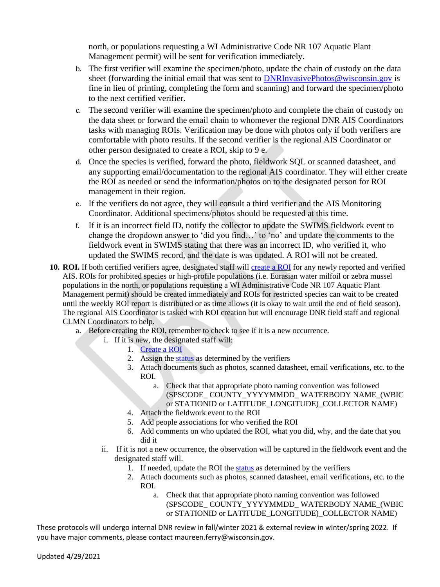north, or populations requesting a WI Administrative Code NR 107 Aquatic Plant Management permit) will be sent for verification immediately.

- b. The first verifier will examine the specimen/photo, update the chain of custody on the data sheet (forwarding the initial email that was sent to [DNRInvasivePhotos@wisconsin.gov](mailto:DNRInvasivePhotos@wisconsin.gov) is fine in lieu of printing, completing the form and scanning) and forward the specimen/photo to the next certified verifier.
- c. The second verifier will examine the specimen/photo and complete the chain of custody on the data sheet or forward the email chain to whomever the regional DNR AIS Coordinators tasks with managing ROIs. Verification may be done with photos only if both verifiers are comfortable with photo results. If the second verifier is the regional AIS Coordinator or other person designated to create a ROI, skip to 9 e.
- d. Once the species is verified, forward the photo, fieldwork SQL or scanned datasheet, and any supporting email/documentation to the regional AIS coordinator. They will either create the ROI as needed or send the information/photos on to the designated person for ROI management in their region.
- e. If the verifiers do not agree, they will consult a third verifier and the AIS Monitoring Coordinator. Additional specimens/photos should be requested at this time.
- f. If it is an incorrect field ID, notify the collector to update the SWIMS fieldwork event to change the dropdown answer to 'did you find…' to 'no' and update the comments to the fieldwork event in SWIMS stating that there was an incorrect ID, who verified it, who updated the SWIMS record, and the date is was updated. A ROI will not be created.
- 10. ROI. If both certified verifiers agree, designated staff will [create a ROI](https://dnrx.wisconsin.gov/swims/downloadDocument.do?id=145713258) for any newly reported and verified AIS. ROIs for prohibited species or high-profile populations (i.e. Eurasian water milfoil or zebra mussel populations in the north, or populations requesting a WI Administrative Code NR 107 Aquatic Plant Management permit) should be created immediately and ROIs for restricted species can wait to be created until the weekly ROI report is distributed or as time allows (it is okay to wait until the end of field season). The regional AIS Coordinator is tasked with ROI creation but will encourage DNR field staff and regional CLMN Coordinators to help.
	- a. Before creating the ROI, remember to check to see if it is a new occurrence.
		- i. If it is new, the designated staff will:
			- 1. [Create a ROI](https://dnrx.wisconsin.gov/swims/downloadDocument.do?id=145713258)
				- 2. Assign th[e status](https://dnrx.wisconsin.gov/swims/downloadDocument.do?id=127413817) as determined by the verifiers
				- 3. Attach documents such as photos, scanned datasheet, email verifications, etc. to the ROI.
					- a. Check that that appropriate photo naming convention was followed (SPSCODE\_ COUNTY\_YYYYMMDD\_ WATERBODY NAME\_(WBIC or STATIONID or LATITUDE LONGITUDE) COLLECTOR NAME)
				- 4. Attach the fieldwork event to the ROI
				- 5. Add people associations for who verified the ROI
				- 6. Add comments on who updated the ROI, what you did, why, and the date that you did it
		- ii. If it is not a new occurrence, the observation will be captured in the fieldwork event and the designated staff will.
			- 1. If needed, update the ROI the [status](https://dnrx.wisconsin.gov/swims/downloadDocument.do?id=127413817) as determined by the verifiers
			- 2. Attach documents such as photos, scanned datasheet, email verifications, etc. to the ROI.
				- a. Check that that appropriate photo naming convention was followed (SPSCODE\_ COUNTY\_YYYYMMDD\_ WATERBODY NAME\_(WBIC or STATIONID or LATITUDE\_LONGITUDE)\_COLLECTOR NAME)

These protocols will undergo internal DNR review in fall/winter 2021 & external review in winter/spring 2022. If you have major comments, please contact maureen.ferry@wisconsin.gov.

Updated 4/29/2021